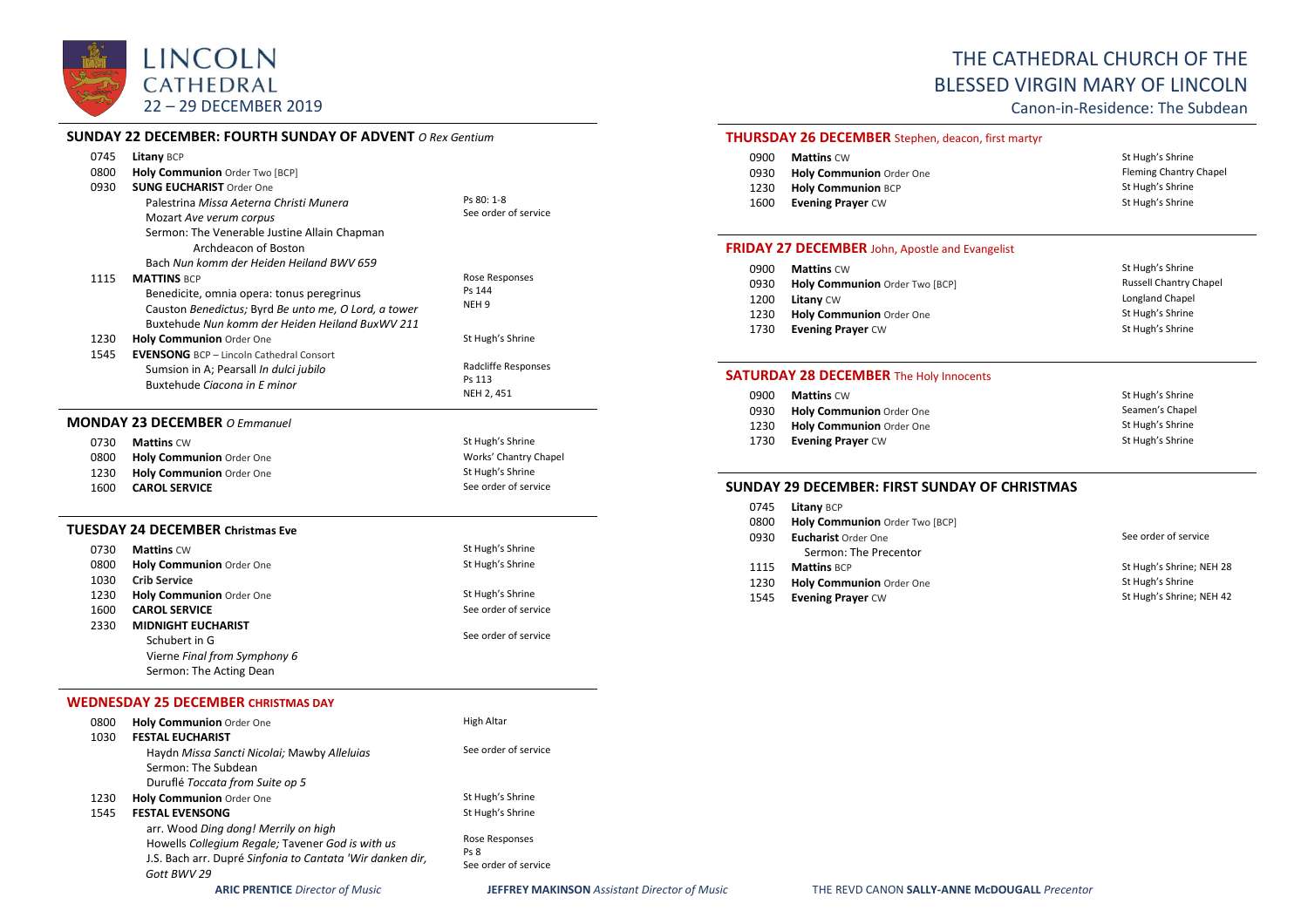

## **SUNDAY 22 DECEMBER: FOURTH SUNDAY OF ADVENT** *O Rex Gentium*

| 0745<br>0800         | Litany BCP<br>Holy Communion Order Two [BCP]                                                                                                                                                                              |                                                               |
|----------------------|---------------------------------------------------------------------------------------------------------------------------------------------------------------------------------------------------------------------------|---------------------------------------------------------------|
| 0930                 | <b>SUNG EUCHARIST Order One</b><br>Palestrina Missa Aeterna Christi Munera<br>Mozart Ave verum corpus<br>Sermon: The Venerable Justine Allain Chapman<br>Archdeacon of Boston<br>Bach Nun komm der Heiden Heiland BWV 659 | Ps 80: 1-8<br>See order of service                            |
| 1115                 | <b>MATTINS BCP</b><br>Benedicite, omnia opera: tonus peregrinus<br>Causton Benedictus; Byrd Be unto me, O Lord, a tower<br>Buxtehude Nun komm der Heiden Heiland BuxWV 211                                                | Rose Responses<br>Ps 144<br>NEH <sub>9</sub>                  |
| 1230<br>1545         | Holy Communion Order One<br><b>EVENSONG</b> BCP - Lincoln Cathedral Consort<br>Sumsion in A; Pearsall In dulci jubilo                                                                                                     | St Hugh's Shrine<br>Radcliffe Responses<br>Ps 113             |
|                      | Buxtehude Ciacona in E minor                                                                                                                                                                                              | NEH 2, 451                                                    |
|                      | <b>MONDAY 23 DECEMBER O Emmanuel</b>                                                                                                                                                                                      |                                                               |
| 0730<br>0800<br>1230 | <b>Mattins CW</b><br>Holy Communion Order One<br>Holy Communion Order One                                                                                                                                                 | St Hugh's Shrine<br>Works' Chantry Chapel<br>St Hugh's Shrine |
| 1600                 | <b>CAROL SERVICE</b>                                                                                                                                                                                                      | See order of service                                          |
|                      | TUESDAY 24 DECEMBER Christmas Eve                                                                                                                                                                                         |                                                               |
| 0730                 | <b>Mattins CW</b>                                                                                                                                                                                                         | St Hugh's Shrine                                              |
| 0800                 | Holy Communion Order One                                                                                                                                                                                                  | St Hugh's Shrine                                              |
| 1030                 | <b>Crib Service</b>                                                                                                                                                                                                       |                                                               |
| 1230                 | Holy Communion Order One                                                                                                                                                                                                  | St Hugh's Shrine                                              |
| 1600<br>2330         | <b>CAROL SERVICE</b><br><b>MIDNIGHT EUCHARIST</b><br>Schubert in G                                                                                                                                                        | See order of service<br>See order of service                  |
|                      | Vierne Final from Symphony 6<br>Sermon: The Acting Dean                                                                                                                                                                   |                                                               |
|                      | <b>WEDNESDAY 25 DECEMBER CHRISTMAS DAY</b>                                                                                                                                                                                |                                                               |
| 0800<br>1030         | Holy Communion Order One<br><b>FESTAL EUCHARIST</b>                                                                                                                                                                       | High Altar                                                    |
|                      | Haydn Missa Sancti Nicolai; Mawby Alleluias<br>Sermon: The Subdean<br>Duruflé Toccata from Suite op 5                                                                                                                     | See order of service                                          |
| 1230<br>1545         | Holy Communion Order One<br><b>FESTAL EVENSONG</b>                                                                                                                                                                        | St Hugh's Shrine<br>St Hugh's Shrine                          |
|                      | arr. Wood Ding dong! Merrily on high                                                                                                                                                                                      |                                                               |

# THE CATHEDRAL CHURCH OF THE BLESSED VIRGIN MARY OF LINCOLN

Canon-in-Residence: The Subdean

## **THURSDAY 26 DECEMBER** Stephen, deacon, first martyr

| 0900 | <b>Mattins</b> CW         | St Hugh's Shrine       |
|------|---------------------------|------------------------|
| 0930 | Holy Communion Order One  | Fleming Chantry Chapel |
| 1230 | <b>Holy Communion BCP</b> | St Hugh's Shrine       |
| 1600 | <b>Evening Prayer CW</b>  | St Hugh's Shrine       |

# **FRIDAY 27 DECEMBER** John, Apostle and Evangelist

| <b>Mattins CW</b>               | St Hugh's Shrine              |
|---------------------------------|-------------------------------|
| Holy Communion Order Two [BCP]  | <b>Russell Chantry Chapel</b> |
| <b>Litany</b> CW                | Longland Chapel               |
| <b>Holy Communion</b> Order One | St Hugh's Shrine              |
| <b>Evening Praver CW</b>        | St Hugh's Shrine              |
|                                 |                               |

# **SATURDAY 28 DECEMBER** The Holy Innocents

| St Hugh's Shrine |
|------------------|
| Seamen's Chapel  |
| St Hugh's Shrine |
| St Hugh's Shrine |
|                  |

### **SUNDAY 29 DECEMBER: FIRST SUNDAY OF CHRISTMAS**

| 0745<br>0800 | <b>Litany BCP</b><br>Holy Communion Order Two [BCP] |                          |
|--------------|-----------------------------------------------------|--------------------------|
| 0930         | <b>Eucharist Order One</b>                          | See order of service     |
|              | Sermon: The Precentor                               |                          |
| 1115         | <b>Mattins BCP</b>                                  | St Hugh's Shrine; NEH 28 |
| 1230         | Holy Communion Order One                            | St Hugh's Shrine         |
| 1545         | <b>Evening Prayer CW</b>                            | St Hugh's Shrine; NEH 42 |